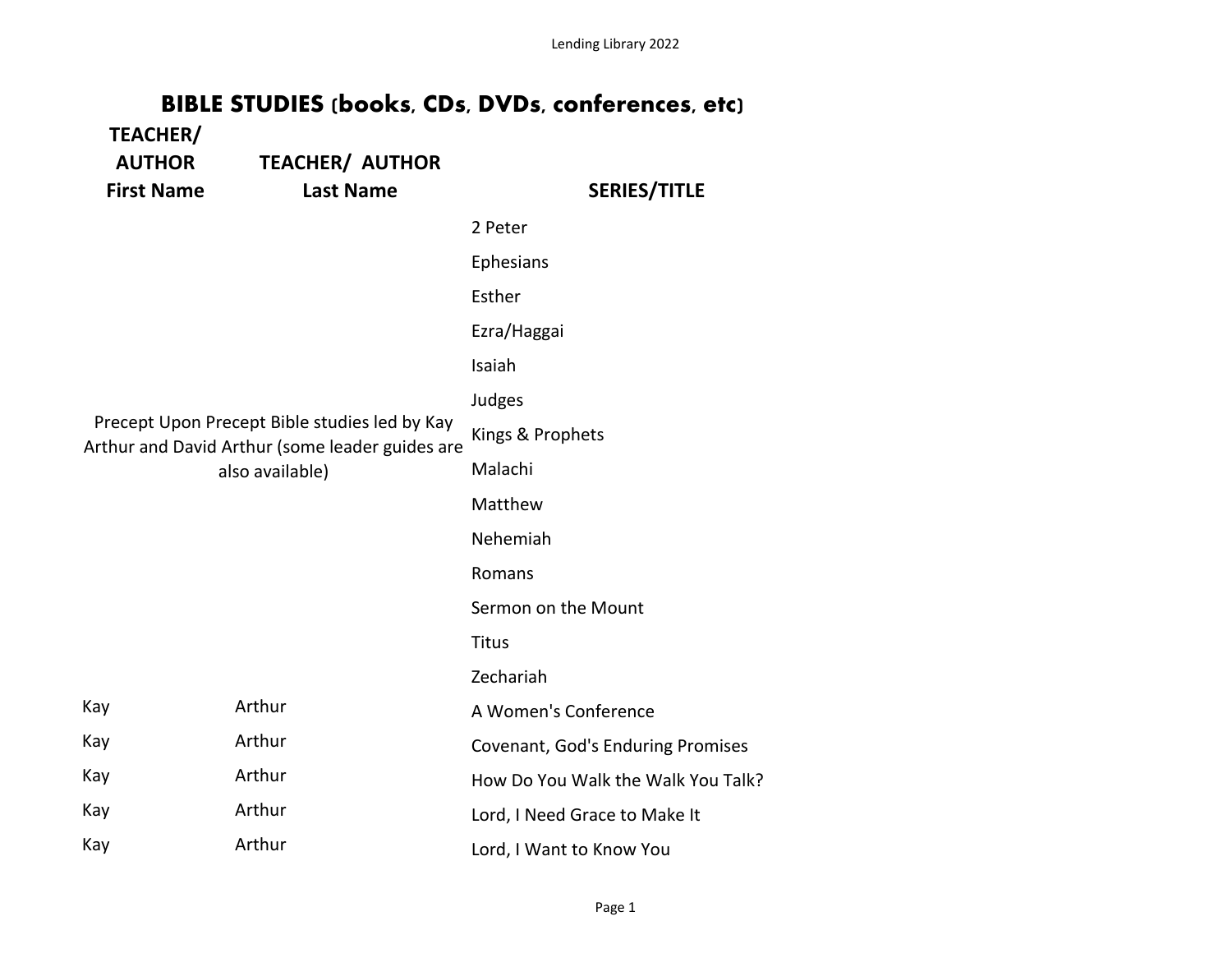Lending Library 2022

## **BIBLE STUDIES (books, CDs, DVDs, conferences, etc)**

| <b>TEACHER/</b><br><b>AUTHOR</b><br><b>First Name</b>                                                               | <b>TEACHER/ AUTHOR</b><br><b>Last Name</b> | <b>SERIES/TITLE</b>                      |
|---------------------------------------------------------------------------------------------------------------------|--------------------------------------------|------------------------------------------|
|                                                                                                                     |                                            | 2 Peter                                  |
|                                                                                                                     |                                            | Ephesians                                |
|                                                                                                                     |                                            | Esther                                   |
|                                                                                                                     |                                            | Ezra/Haggai                              |
|                                                                                                                     |                                            | Isaiah                                   |
|                                                                                                                     |                                            | Judges                                   |
| Precept Upon Precept Bible studies led by Kay<br>Arthur and David Arthur (some leader guides are<br>also available) |                                            | Kings & Prophets                         |
|                                                                                                                     |                                            | Malachi                                  |
|                                                                                                                     |                                            | Matthew                                  |
|                                                                                                                     |                                            | Nehemiah                                 |
|                                                                                                                     |                                            | Romans                                   |
|                                                                                                                     |                                            | Sermon on the Mount                      |
|                                                                                                                     |                                            | <b>Titus</b>                             |
|                                                                                                                     |                                            | Zechariah                                |
| Kay                                                                                                                 | Arthur                                     | A Women's Conference                     |
| Kay                                                                                                                 | Arthur                                     | <b>Covenant, God's Enduring Promises</b> |
| Kay                                                                                                                 | Arthur                                     | How Do You Walk the Walk You Talk?       |
| Kay                                                                                                                 | Arthur                                     | Lord, I Need Grace to Make It            |
| Kay                                                                                                                 | Arthur                                     | Lord, I Want to Know You                 |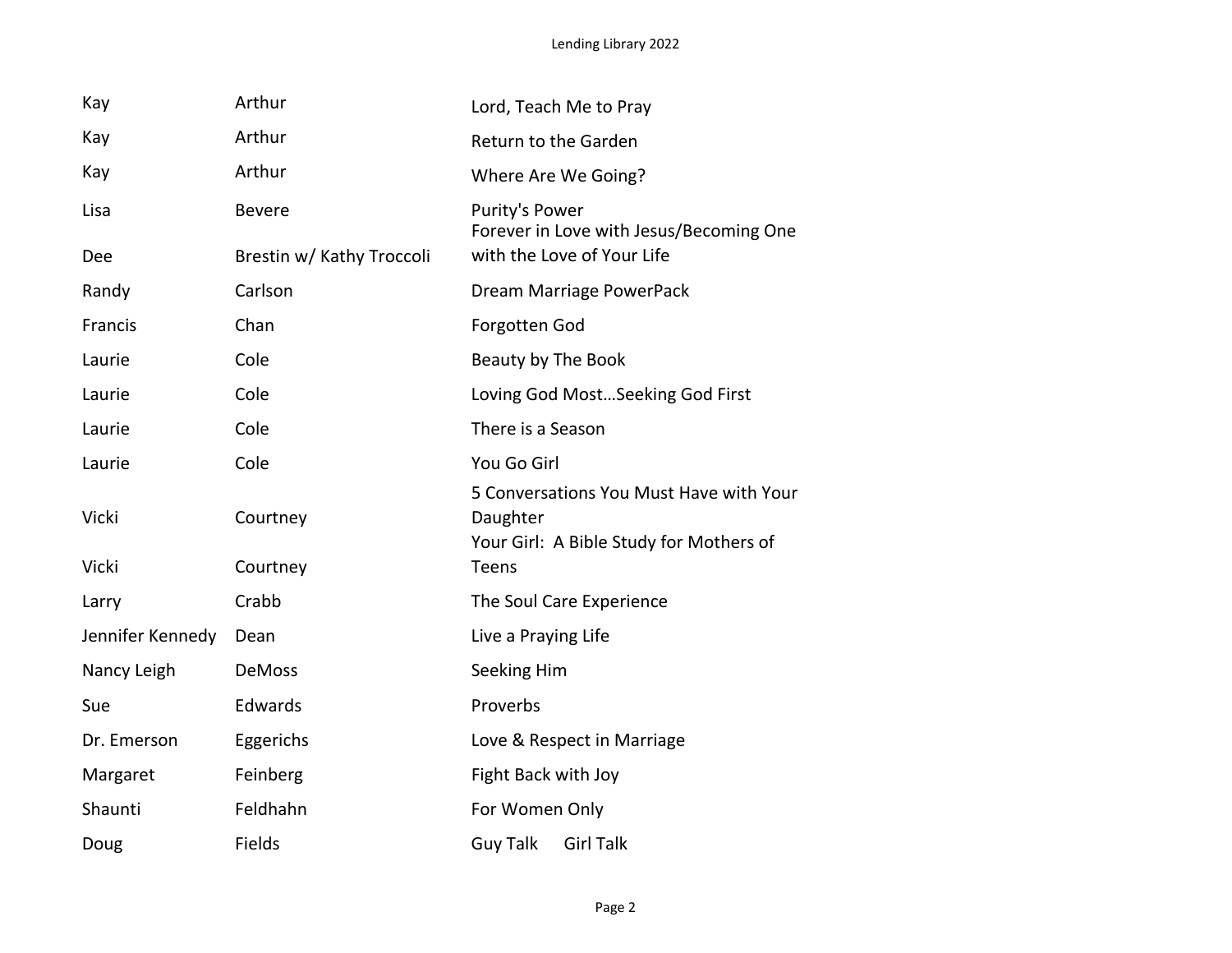| Kay              | Arthur                    | Lord, Teach Me to Pray                                                                         |
|------------------|---------------------------|------------------------------------------------------------------------------------------------|
| Kay              | Arthur                    | <b>Return to the Garden</b>                                                                    |
| Kay              | Arthur                    | Where Are We Going?                                                                            |
| Lisa             | <b>Bevere</b>             | Purity's Power<br>Forever in Love with Jesus/Becoming One                                      |
| <b>Dee</b>       | Brestin w/ Kathy Troccoli | with the Love of Your Life                                                                     |
| Randy            | Carlson                   | Dream Marriage PowerPack                                                                       |
| Francis          | Chan                      | <b>Forgotten God</b>                                                                           |
| Laurie           | Cole                      | Beauty by The Book                                                                             |
| Laurie           | Cole                      | Loving God Most Seeking God First                                                              |
| Laurie           | Cole                      | There is a Season                                                                              |
| Laurie           | Cole                      | You Go Girl                                                                                    |
| Vicki            | Courtney                  | 5 Conversations You Must Have with Your<br>Daughter<br>Your Girl: A Bible Study for Mothers of |
| Vicki            | Courtney                  | <b>Teens</b>                                                                                   |
| Larry            | Crabb                     | The Soul Care Experience                                                                       |
| Jennifer Kennedy | Dean                      | Live a Praying Life                                                                            |
| Nancy Leigh      | <b>DeMoss</b>             | Seeking Him                                                                                    |
| Sue              | Edwards                   | Proverbs                                                                                       |
| Dr. Emerson      | Eggerichs                 | Love & Respect in Marriage                                                                     |
| Margaret         | Feinberg                  | Fight Back with Joy                                                                            |
| Shaunti          | Feldhahn                  | For Women Only                                                                                 |
| Doug             | Fields                    | <b>Guy Talk</b><br><b>Girl Talk</b>                                                            |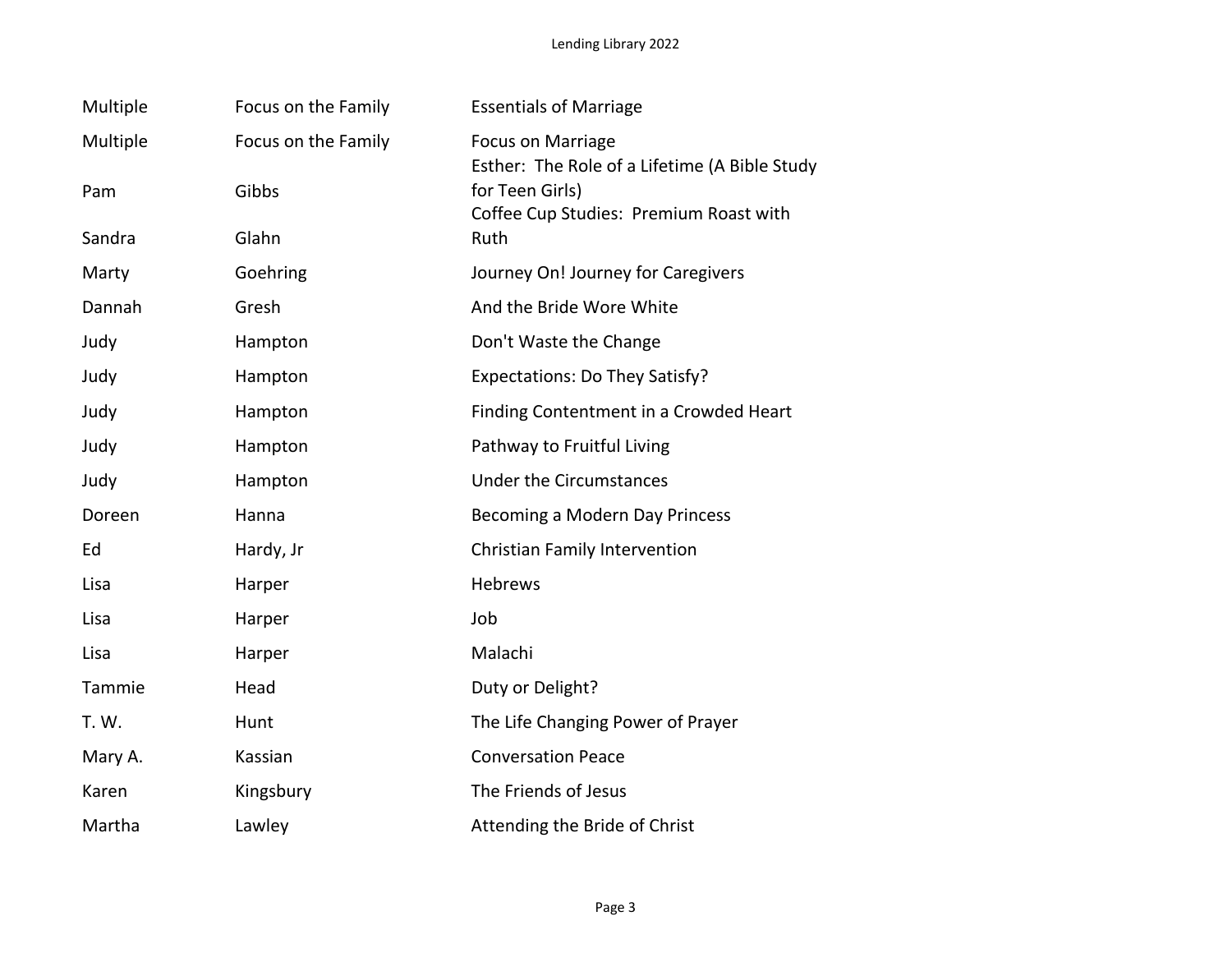| Multiple | Focus on the Family | <b>Essentials of Marriage</b>                                             |
|----------|---------------------|---------------------------------------------------------------------------|
| Multiple | Focus on the Family | <b>Focus on Marriage</b><br>Esther: The Role of a Lifetime (A Bible Study |
| Pam      | Gibbs               | for Teen Girls)<br>Coffee Cup Studies: Premium Roast with                 |
| Sandra   | Glahn               | Ruth                                                                      |
| Marty    | Goehring            | Journey On! Journey for Caregivers                                        |
| Dannah   | Gresh               | And the Bride Wore White                                                  |
| Judy     | Hampton             | Don't Waste the Change                                                    |
| Judy     | Hampton             | Expectations: Do They Satisfy?                                            |
| Judy     | Hampton             | Finding Contentment in a Crowded Heart                                    |
| Judy     | Hampton             | Pathway to Fruitful Living                                                |
| Judy     | Hampton             | <b>Under the Circumstances</b>                                            |
| Doreen   | Hanna               | Becoming a Modern Day Princess                                            |
| Ed       | Hardy, Jr           | <b>Christian Family Intervention</b>                                      |
| Lisa     | Harper              | <b>Hebrews</b>                                                            |
| Lisa     | Harper              | Job                                                                       |
| Lisa     | Harper              | Malachi                                                                   |
| Tammie   | Head                | Duty or Delight?                                                          |
| T. W.    | Hunt                | The Life Changing Power of Prayer                                         |
| Mary A.  | Kassian             | <b>Conversation Peace</b>                                                 |
| Karen    | Kingsbury           | The Friends of Jesus                                                      |
| Martha   | Lawley              | Attending the Bride of Christ                                             |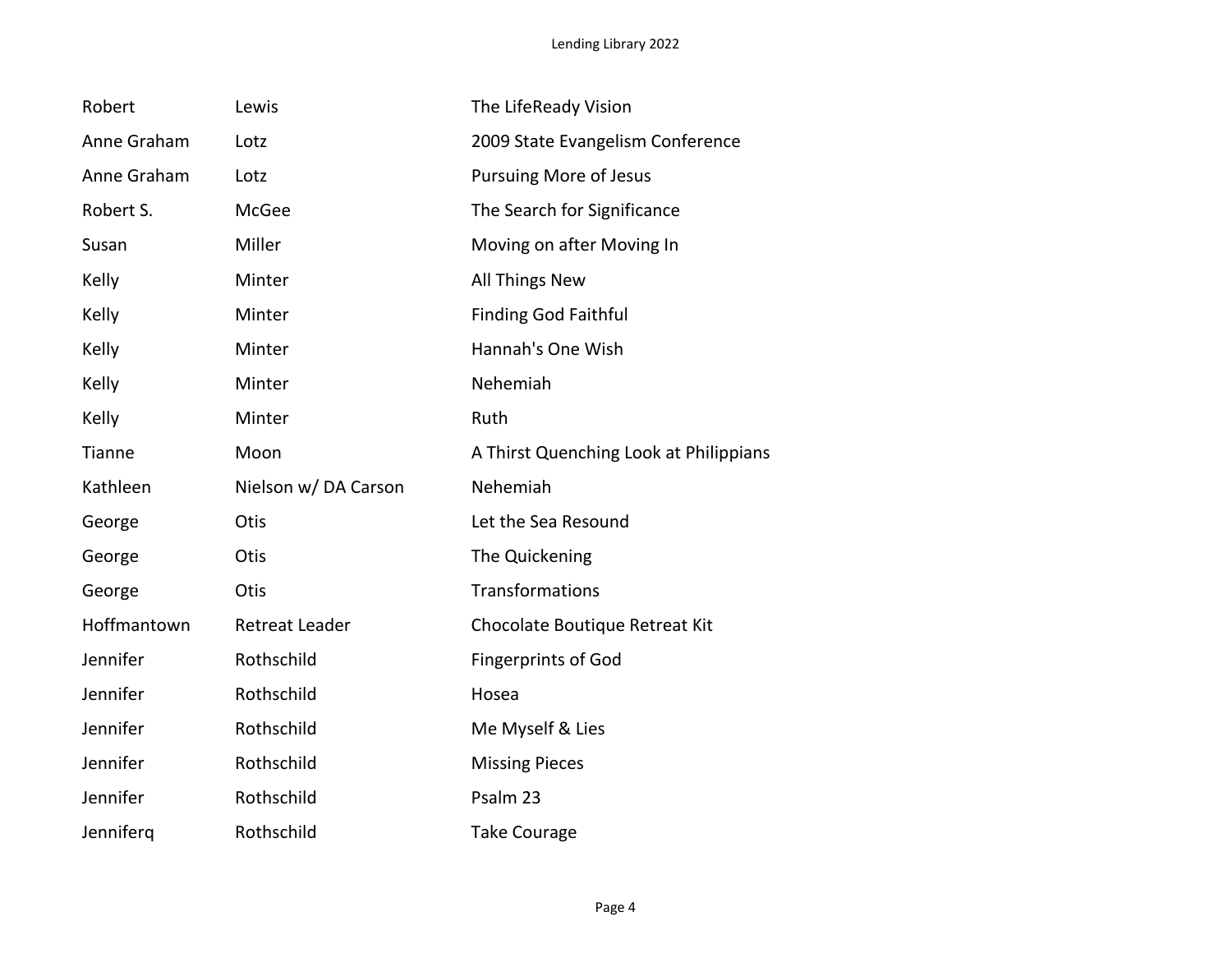| Robert        | Lewis                 | The LifeReady Vision                   |
|---------------|-----------------------|----------------------------------------|
| Anne Graham   | Lotz                  | 2009 State Evangelism Conference       |
| Anne Graham   | Lotz                  | <b>Pursuing More of Jesus</b>          |
| Robert S.     | McGee                 | The Search for Significance            |
| Susan         | Miller                | Moving on after Moving In              |
| Kelly         | Minter                | <b>All Things New</b>                  |
| Kelly         | Minter                | <b>Finding God Faithful</b>            |
| Kelly         | Minter                | Hannah's One Wish                      |
| Kelly         | Minter                | Nehemiah                               |
| Kelly         | Minter                | Ruth                                   |
| <b>Tianne</b> | Moon                  | A Thirst Quenching Look at Philippians |
| Kathleen      | Nielson w/DA Carson   | Nehemiah                               |
| George        | Otis                  | Let the Sea Resound                    |
| George        | Otis                  | The Quickening                         |
| George        | Otis                  | Transformations                        |
| Hoffmantown   | <b>Retreat Leader</b> | Chocolate Boutique Retreat Kit         |
| Jennifer      | Rothschild            | <b>Fingerprints of God</b>             |
| Jennifer      | Rothschild            | Hosea                                  |
| Jennifer      | Rothschild            | Me Myself & Lies                       |
| Jennifer      | Rothschild            | <b>Missing Pieces</b>                  |
| Jennifer      | Rothschild            | Psalm 23                               |
| Jenniferq     | Rothschild            | <b>Take Courage</b>                    |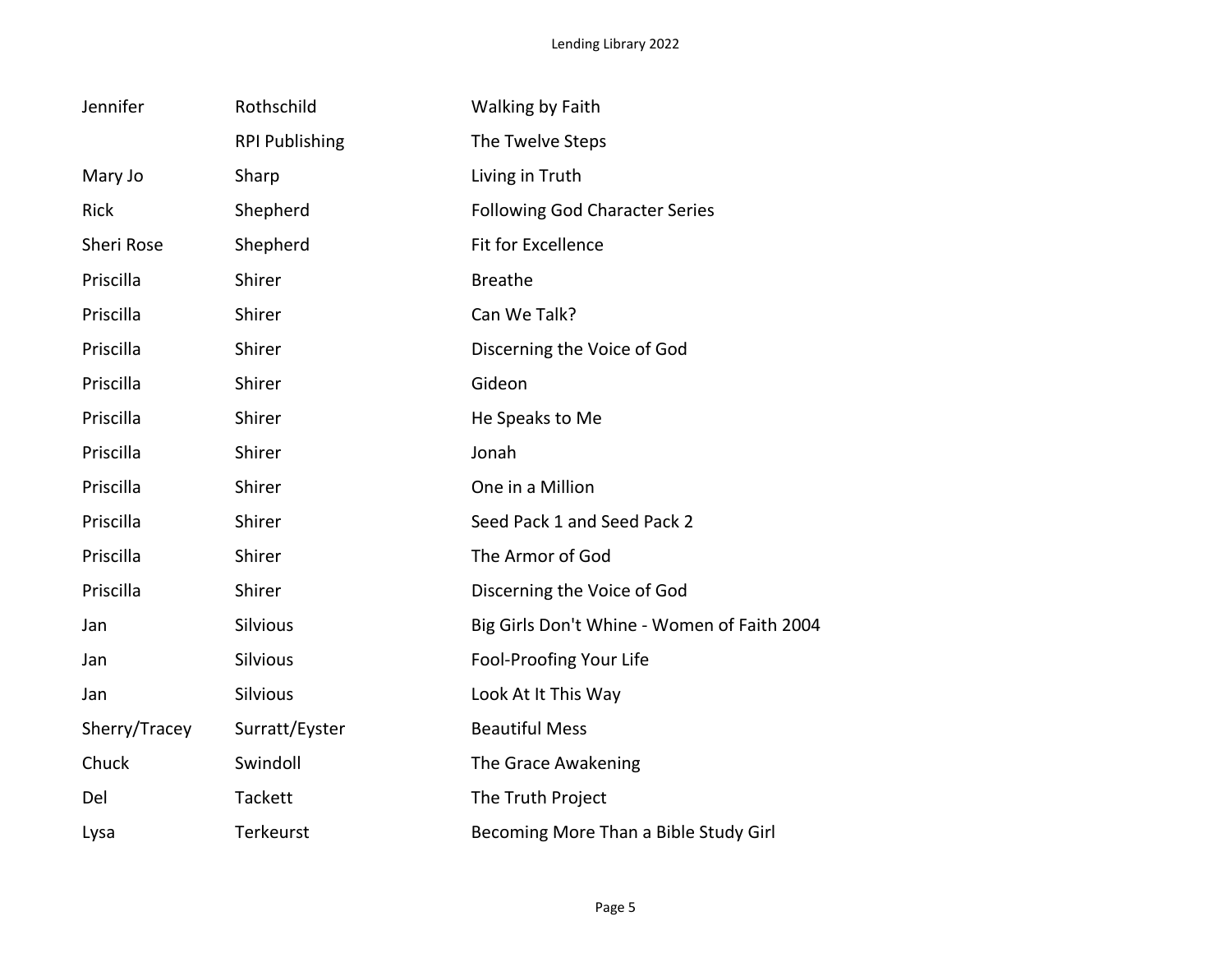| Jennifer          | Rothschild            | <b>Walking by Faith</b>                     |
|-------------------|-----------------------|---------------------------------------------|
|                   | <b>RPI Publishing</b> | The Twelve Steps                            |
| Mary Jo           | Sharp                 | Living in Truth                             |
| <b>Rick</b>       | Shepherd              | <b>Following God Character Series</b>       |
| <b>Sheri Rose</b> | Shepherd              | <b>Fit for Excellence</b>                   |
| Priscilla         | Shirer                | <b>Breathe</b>                              |
| Priscilla         | Shirer                | Can We Talk?                                |
| Priscilla         | Shirer                | Discerning the Voice of God                 |
| Priscilla         | Shirer                | Gideon                                      |
| Priscilla         | Shirer                | He Speaks to Me                             |
| Priscilla         | Shirer                | Jonah                                       |
| Priscilla         | Shirer                | One in a Million                            |
| Priscilla         | Shirer                | Seed Pack 1 and Seed Pack 2                 |
| Priscilla         | Shirer                | The Armor of God                            |
| Priscilla         | Shirer                | Discerning the Voice of God                 |
| Jan               | <b>Silvious</b>       | Big Girls Don't Whine - Women of Faith 2004 |
| Jan               | <b>Silvious</b>       | Fool-Proofing Your Life                     |
| Jan               | <b>Silvious</b>       | Look At It This Way                         |
| Sherry/Tracey     | Surratt/Eyster        | <b>Beautiful Mess</b>                       |
| Chuck             | Swindoll              | The Grace Awakening                         |
| Del               | <b>Tackett</b>        | The Truth Project                           |
| Lysa              | Terkeurst             | Becoming More Than a Bible Study Girl       |